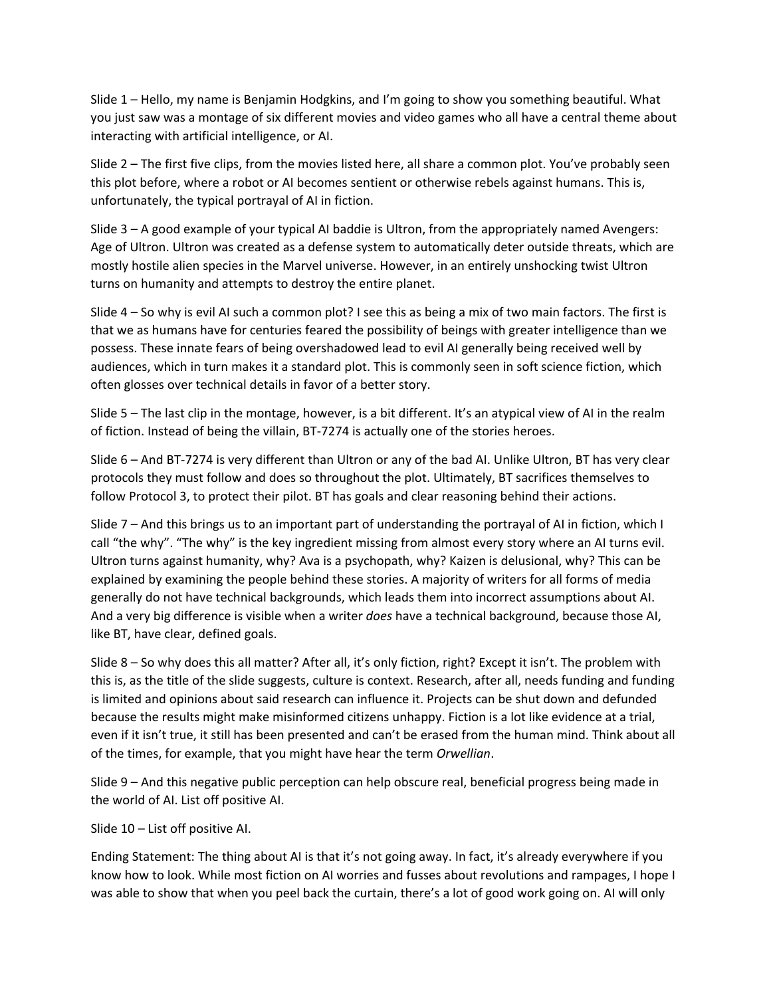Slide 1 – Hello, my name is Benjamin Hodgkins, and I'm going to show you something beautiful. What you just saw was a montage of six different movies and video games who all have a central theme about interacting with artificial intelligence, or AI.

Slide 2 – The first five clips, from the movies listed here, all share a common plot. You've probably seen this plot before, where a robot or AI becomes sentient or otherwise rebels against humans. This is, unfortunately, the typical portrayal of AI in fiction.

Slide 3 – A good example of your typical AI baddie is Ultron, from the appropriately named Avengers: Age of Ultron. Ultron was created as a defense system to automatically deter outside threats, which are mostly hostile alien species in the Marvel universe. However, in an entirely unshocking twist Ultron turns on humanity and attempts to destroy the entire planet.

Slide 4 – So why is evil AI such a common plot? I see this as being a mix of two main factors. The first is that we as humans have for centuries feared the possibility of beings with greater intelligence than we possess. These innate fears of being overshadowed lead to evil AI generally being received well by audiences, which in turn makes it a standard plot. This is commonly seen in soft science fiction, which often glosses over technical details in favor of a better story.

Slide 5 – The last clip in the montage, however, is a bit different. It's an atypical view of AI in the realm of fiction. Instead of being the villain, BT-7274 is actually one of the stories heroes.

Slide 6 – And BT-7274 is very different than Ultron or any of the bad AI. Unlike Ultron, BT has very clear protocols they must follow and does so throughout the plot. Ultimately, BT sacrifices themselves to follow Protocol 3, to protect their pilot. BT has goals and clear reasoning behind their actions.

Slide 7 – And this brings us to an important part of understanding the portrayal of AI in fiction, which I call "the why". "The why" is the key ingredient missing from almost every story where an AI turns evil. Ultron turns against humanity, why? Ava is a psychopath, why? Kaizen is delusional, why? This can be explained by examining the people behind these stories. A majority of writers for all forms of media generally do not have technical backgrounds, which leads them into incorrect assumptions about AI. And a very big difference is visible when a writer *does* have a technical background, because those AI, like BT, have clear, defined goals.

Slide 8 – So why does this all matter? After all, it's only fiction, right? Except it isn't. The problem with this is, as the title of the slide suggests, culture is context. Research, after all, needs funding and funding is limited and opinions about said research can influence it. Projects can be shut down and defunded because the results might make misinformed citizens unhappy. Fiction is a lot like evidence at a trial, even if it isn't true, it still has been presented and can't be erased from the human mind. Think about all of the times, for example, that you might have hear the term *Orwellian*.

Slide 9 – And this negative public perception can help obscure real, beneficial progress being made in the world of AI. List off positive AI.

Slide 10 – List off positive AI.

Ending Statement: The thing about AI is that it's not going away. In fact, it's already everywhere if you know how to look. While most fiction on AI worries and fusses about revolutions and rampages, I hope I was able to show that when you peel back the curtain, there's a lot of good work going on. AI will only